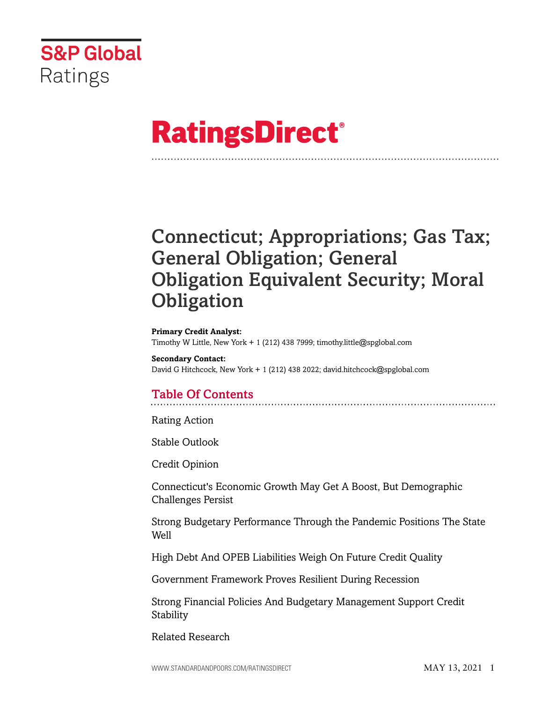

# **RatingsDirect®**

## Connecticut; Appropriations; Gas Tax; General Obligation; General Obligation Equivalent Security; Moral **Obligation**

#### **Primary Credit Analyst:**

Timothy W Little, New York + 1 (212) 438 7999; timothy.little@spglobal.com

**Secondary Contact:** David G Hitchcock, New York + 1 (212) 438 2022; david.hitchcock@spglobal.com

## Table Of Contents

[Rating Action](#page-3-0)

[Stable Outlook](#page-5-0)

[Credit Opinion](#page-5-1)

[Connecticut's Economic Growth May Get A Boost, But Demographic](#page-6-0) [Challenges Persist](#page-6-0)

[Strong Budgetary Performance Through the Pandemic Positions The State](#page-6-1) [Well](#page-6-1)

[High Debt And OPEB Liabilities Weigh On Future Credit Quality](#page-7-0)

[Government Framework Proves Resilient During Recession](#page-9-0)

[Strong Financial Policies And Budgetary Management Support Credit](#page-10-0) [Stability](#page-10-0)

[Related Research](#page-11-0)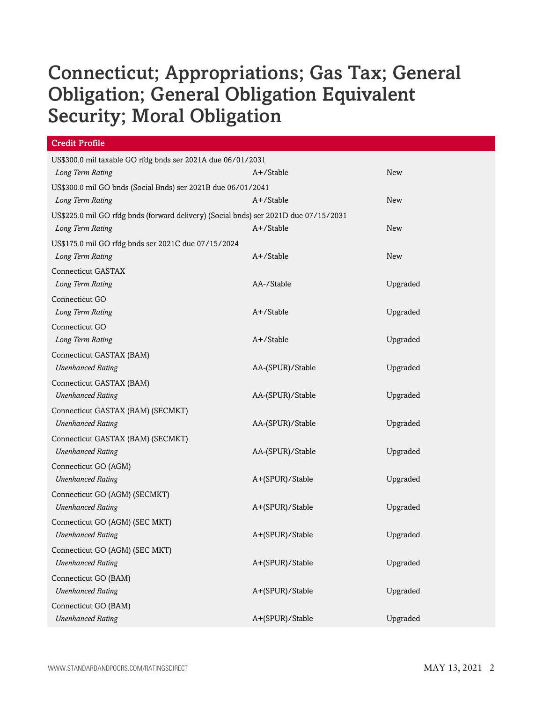| <b>Credit Profile</b>                                                                |                  |            |  |
|--------------------------------------------------------------------------------------|------------------|------------|--|
| US\$300.0 mil taxable GO rfdg bnds ser 2021A due 06/01/2031                          |                  |            |  |
| Long Term Rating                                                                     | A+/Stable        | <b>New</b> |  |
| US\$300.0 mil GO bnds (Social Bnds) ser 2021B due 06/01/2041                         |                  |            |  |
| Long Term Rating                                                                     | A+/Stable        | <b>New</b> |  |
| US\$225.0 mil GO rfdg bnds (forward delivery) (Social bnds) ser 2021D due 07/15/2031 |                  |            |  |
| Long Term Rating                                                                     | A+/Stable        | New        |  |
| US\$175.0 mil GO rfdg bnds ser 2021C due 07/15/2024                                  |                  |            |  |
| Long Term Rating                                                                     | $A+$ /Stable     | <b>New</b> |  |
| <b>Connecticut GASTAX</b>                                                            |                  |            |  |
| Long Term Rating                                                                     | AA-/Stable       | Upgraded   |  |
| Connecticut GO                                                                       |                  |            |  |
| Long Term Rating                                                                     | $A+$ /Stable     | Upgraded   |  |
| Connecticut GO                                                                       |                  |            |  |
| Long Term Rating                                                                     | A+/Stable        | Upgraded   |  |
| Connecticut GASTAX (BAM)                                                             |                  |            |  |
| <b>Unenhanced Rating</b>                                                             | AA-(SPUR)/Stable | Upgraded   |  |
| Connecticut GASTAX (BAM)                                                             |                  |            |  |
| <b>Unenhanced Rating</b>                                                             | AA-(SPUR)/Stable | Upgraded   |  |
| Connecticut GASTAX (BAM) (SECMKT)                                                    |                  |            |  |
| <b>Unenhanced Rating</b>                                                             | AA-(SPUR)/Stable | Upgraded   |  |
| Connecticut GASTAX (BAM) (SECMKT)                                                    |                  |            |  |
| <b>Unenhanced Rating</b>                                                             | AA-(SPUR)/Stable | Upgraded   |  |
| Connecticut GO (AGM)                                                                 |                  |            |  |
| <b>Unenhanced Rating</b>                                                             | A+(SPUR)/Stable  | Upgraded   |  |
| Connecticut GO (AGM) (SECMKT)                                                        |                  |            |  |
| <b>Unenhanced Rating</b>                                                             | A+(SPUR)/Stable  | Upgraded   |  |
| Connecticut GO (AGM) (SEC MKT)                                                       |                  |            |  |
| <b>Unenhanced Rating</b>                                                             | A+(SPUR)/Stable  | Upgraded   |  |
| Connecticut GO (AGM) (SEC MKT)                                                       |                  |            |  |
| <b>Unenhanced Rating</b>                                                             | A+(SPUR)/Stable  | Upgraded   |  |
| Connecticut GO (BAM)                                                                 |                  |            |  |
| <b>Unenhanced Rating</b>                                                             | A+(SPUR)/Stable  | Upgraded   |  |
| Connecticut GO (BAM)                                                                 |                  |            |  |
| <b>Unenhanced Rating</b>                                                             | A+(SPUR)/Stable  | Upgraded   |  |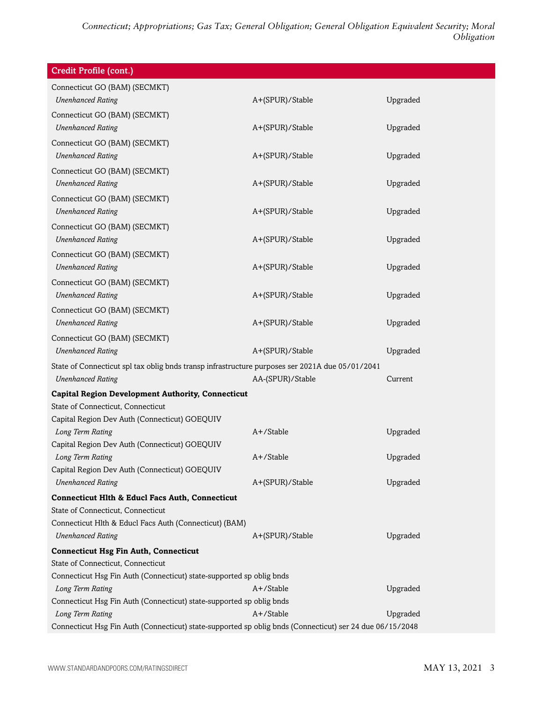| Connecticut GO (BAM) (SECMKT)<br>Upgraded<br><b>Unenhanced Rating</b><br>A+(SPUR)/Stable<br>Connecticut GO (BAM) (SECMKT)<br><b>Unenhanced Rating</b><br>Upgraded<br>A+(SPUR)/Stable<br>Connecticut GO (BAM) (SECMKT)<br><b>Unenhanced Rating</b><br>Upgraded<br>A+(SPUR)/Stable<br>Connecticut GO (BAM) (SECMKT)<br><b>Unenhanced Rating</b><br>A+(SPUR)/Stable<br>Upgraded<br>Connecticut GO (BAM) (SECMKT)<br><b>Unenhanced Rating</b><br>A+(SPUR)/Stable<br>Upgraded<br>Connecticut GO (BAM) (SECMKT)<br><b>Unenhanced Rating</b><br>A+(SPUR)/Stable<br>Upgraded<br>Connecticut GO (BAM) (SECMKT)<br><b>Unenhanced Rating</b><br>Upgraded<br>A+(SPUR)/Stable<br>Connecticut GO (BAM) (SECMKT)<br><b>Unenhanced Rating</b><br>A+(SPUR)/Stable<br>Upgraded<br>Connecticut GO (BAM) (SECMKT)<br><b>Unenhanced Rating</b><br>A+(SPUR)/Stable<br>Upgraded<br>Connecticut GO (BAM) (SECMKT)<br><b>Unenhanced Rating</b><br>A+(SPUR)/Stable<br>Upgraded<br>State of Connecticut spl tax oblig bnds transp infrastructure purposes ser 2021A due 05/01/2041<br><b>Unenhanced Rating</b><br>AA-(SPUR)/Stable<br>Current<br><b>Capital Region Development Authority, Connecticut</b><br>State of Connecticut, Connecticut<br>Capital Region Dev Auth (Connecticut) GOEQUIV<br>A+/Stable<br>Long Term Rating<br>Upgraded<br>Capital Region Dev Auth (Connecticut) GOEQUIV<br>A+/Stable<br>Long Term Rating<br>Upgraded<br>Capital Region Dev Auth (Connecticut) GOEQUIV<br>Upgraded<br><b>Unenhanced Rating</b><br>A+(SPUR)/Stable<br><b>Connecticut Hlth &amp; Educl Facs Auth, Connecticut</b><br>State of Connecticut, Connecticut<br>Connecticut Hlth & Educl Facs Auth (Connecticut) (BAM)<br><b>Unenhanced Rating</b><br>A+(SPUR)/Stable<br>Upgraded | <b>Credit Profile (cont.)</b> |  |
|-----------------------------------------------------------------------------------------------------------------------------------------------------------------------------------------------------------------------------------------------------------------------------------------------------------------------------------------------------------------------------------------------------------------------------------------------------------------------------------------------------------------------------------------------------------------------------------------------------------------------------------------------------------------------------------------------------------------------------------------------------------------------------------------------------------------------------------------------------------------------------------------------------------------------------------------------------------------------------------------------------------------------------------------------------------------------------------------------------------------------------------------------------------------------------------------------------------------------------------------------------------------------------------------------------------------------------------------------------------------------------------------------------------------------------------------------------------------------------------------------------------------------------------------------------------------------------------------------------------------------------------------------------------------------------------------------------------------------------------------------------|-------------------------------|--|
|                                                                                                                                                                                                                                                                                                                                                                                                                                                                                                                                                                                                                                                                                                                                                                                                                                                                                                                                                                                                                                                                                                                                                                                                                                                                                                                                                                                                                                                                                                                                                                                                                                                                                                                                                     |                               |  |
|                                                                                                                                                                                                                                                                                                                                                                                                                                                                                                                                                                                                                                                                                                                                                                                                                                                                                                                                                                                                                                                                                                                                                                                                                                                                                                                                                                                                                                                                                                                                                                                                                                                                                                                                                     |                               |  |
|                                                                                                                                                                                                                                                                                                                                                                                                                                                                                                                                                                                                                                                                                                                                                                                                                                                                                                                                                                                                                                                                                                                                                                                                                                                                                                                                                                                                                                                                                                                                                                                                                                                                                                                                                     |                               |  |
|                                                                                                                                                                                                                                                                                                                                                                                                                                                                                                                                                                                                                                                                                                                                                                                                                                                                                                                                                                                                                                                                                                                                                                                                                                                                                                                                                                                                                                                                                                                                                                                                                                                                                                                                                     |                               |  |
|                                                                                                                                                                                                                                                                                                                                                                                                                                                                                                                                                                                                                                                                                                                                                                                                                                                                                                                                                                                                                                                                                                                                                                                                                                                                                                                                                                                                                                                                                                                                                                                                                                                                                                                                                     |                               |  |
|                                                                                                                                                                                                                                                                                                                                                                                                                                                                                                                                                                                                                                                                                                                                                                                                                                                                                                                                                                                                                                                                                                                                                                                                                                                                                                                                                                                                                                                                                                                                                                                                                                                                                                                                                     |                               |  |
|                                                                                                                                                                                                                                                                                                                                                                                                                                                                                                                                                                                                                                                                                                                                                                                                                                                                                                                                                                                                                                                                                                                                                                                                                                                                                                                                                                                                                                                                                                                                                                                                                                                                                                                                                     |                               |  |
|                                                                                                                                                                                                                                                                                                                                                                                                                                                                                                                                                                                                                                                                                                                                                                                                                                                                                                                                                                                                                                                                                                                                                                                                                                                                                                                                                                                                                                                                                                                                                                                                                                                                                                                                                     |                               |  |
|                                                                                                                                                                                                                                                                                                                                                                                                                                                                                                                                                                                                                                                                                                                                                                                                                                                                                                                                                                                                                                                                                                                                                                                                                                                                                                                                                                                                                                                                                                                                                                                                                                                                                                                                                     |                               |  |
|                                                                                                                                                                                                                                                                                                                                                                                                                                                                                                                                                                                                                                                                                                                                                                                                                                                                                                                                                                                                                                                                                                                                                                                                                                                                                                                                                                                                                                                                                                                                                                                                                                                                                                                                                     |                               |  |
|                                                                                                                                                                                                                                                                                                                                                                                                                                                                                                                                                                                                                                                                                                                                                                                                                                                                                                                                                                                                                                                                                                                                                                                                                                                                                                                                                                                                                                                                                                                                                                                                                                                                                                                                                     |                               |  |
|                                                                                                                                                                                                                                                                                                                                                                                                                                                                                                                                                                                                                                                                                                                                                                                                                                                                                                                                                                                                                                                                                                                                                                                                                                                                                                                                                                                                                                                                                                                                                                                                                                                                                                                                                     |                               |  |
|                                                                                                                                                                                                                                                                                                                                                                                                                                                                                                                                                                                                                                                                                                                                                                                                                                                                                                                                                                                                                                                                                                                                                                                                                                                                                                                                                                                                                                                                                                                                                                                                                                                                                                                                                     |                               |  |
|                                                                                                                                                                                                                                                                                                                                                                                                                                                                                                                                                                                                                                                                                                                                                                                                                                                                                                                                                                                                                                                                                                                                                                                                                                                                                                                                                                                                                                                                                                                                                                                                                                                                                                                                                     |                               |  |
|                                                                                                                                                                                                                                                                                                                                                                                                                                                                                                                                                                                                                                                                                                                                                                                                                                                                                                                                                                                                                                                                                                                                                                                                                                                                                                                                                                                                                                                                                                                                                                                                                                                                                                                                                     |                               |  |
|                                                                                                                                                                                                                                                                                                                                                                                                                                                                                                                                                                                                                                                                                                                                                                                                                                                                                                                                                                                                                                                                                                                                                                                                                                                                                                                                                                                                                                                                                                                                                                                                                                                                                                                                                     |                               |  |
|                                                                                                                                                                                                                                                                                                                                                                                                                                                                                                                                                                                                                                                                                                                                                                                                                                                                                                                                                                                                                                                                                                                                                                                                                                                                                                                                                                                                                                                                                                                                                                                                                                                                                                                                                     |                               |  |
|                                                                                                                                                                                                                                                                                                                                                                                                                                                                                                                                                                                                                                                                                                                                                                                                                                                                                                                                                                                                                                                                                                                                                                                                                                                                                                                                                                                                                                                                                                                                                                                                                                                                                                                                                     |                               |  |
|                                                                                                                                                                                                                                                                                                                                                                                                                                                                                                                                                                                                                                                                                                                                                                                                                                                                                                                                                                                                                                                                                                                                                                                                                                                                                                                                                                                                                                                                                                                                                                                                                                                                                                                                                     |                               |  |
|                                                                                                                                                                                                                                                                                                                                                                                                                                                                                                                                                                                                                                                                                                                                                                                                                                                                                                                                                                                                                                                                                                                                                                                                                                                                                                                                                                                                                                                                                                                                                                                                                                                                                                                                                     |                               |  |
|                                                                                                                                                                                                                                                                                                                                                                                                                                                                                                                                                                                                                                                                                                                                                                                                                                                                                                                                                                                                                                                                                                                                                                                                                                                                                                                                                                                                                                                                                                                                                                                                                                                                                                                                                     |                               |  |
|                                                                                                                                                                                                                                                                                                                                                                                                                                                                                                                                                                                                                                                                                                                                                                                                                                                                                                                                                                                                                                                                                                                                                                                                                                                                                                                                                                                                                                                                                                                                                                                                                                                                                                                                                     |                               |  |
|                                                                                                                                                                                                                                                                                                                                                                                                                                                                                                                                                                                                                                                                                                                                                                                                                                                                                                                                                                                                                                                                                                                                                                                                                                                                                                                                                                                                                                                                                                                                                                                                                                                                                                                                                     |                               |  |
|                                                                                                                                                                                                                                                                                                                                                                                                                                                                                                                                                                                                                                                                                                                                                                                                                                                                                                                                                                                                                                                                                                                                                                                                                                                                                                                                                                                                                                                                                                                                                                                                                                                                                                                                                     |                               |  |
|                                                                                                                                                                                                                                                                                                                                                                                                                                                                                                                                                                                                                                                                                                                                                                                                                                                                                                                                                                                                                                                                                                                                                                                                                                                                                                                                                                                                                                                                                                                                                                                                                                                                                                                                                     |                               |  |
|                                                                                                                                                                                                                                                                                                                                                                                                                                                                                                                                                                                                                                                                                                                                                                                                                                                                                                                                                                                                                                                                                                                                                                                                                                                                                                                                                                                                                                                                                                                                                                                                                                                                                                                                                     |                               |  |
|                                                                                                                                                                                                                                                                                                                                                                                                                                                                                                                                                                                                                                                                                                                                                                                                                                                                                                                                                                                                                                                                                                                                                                                                                                                                                                                                                                                                                                                                                                                                                                                                                                                                                                                                                     |                               |  |
|                                                                                                                                                                                                                                                                                                                                                                                                                                                                                                                                                                                                                                                                                                                                                                                                                                                                                                                                                                                                                                                                                                                                                                                                                                                                                                                                                                                                                                                                                                                                                                                                                                                                                                                                                     |                               |  |
|                                                                                                                                                                                                                                                                                                                                                                                                                                                                                                                                                                                                                                                                                                                                                                                                                                                                                                                                                                                                                                                                                                                                                                                                                                                                                                                                                                                                                                                                                                                                                                                                                                                                                                                                                     |                               |  |
|                                                                                                                                                                                                                                                                                                                                                                                                                                                                                                                                                                                                                                                                                                                                                                                                                                                                                                                                                                                                                                                                                                                                                                                                                                                                                                                                                                                                                                                                                                                                                                                                                                                                                                                                                     |                               |  |
|                                                                                                                                                                                                                                                                                                                                                                                                                                                                                                                                                                                                                                                                                                                                                                                                                                                                                                                                                                                                                                                                                                                                                                                                                                                                                                                                                                                                                                                                                                                                                                                                                                                                                                                                                     |                               |  |
|                                                                                                                                                                                                                                                                                                                                                                                                                                                                                                                                                                                                                                                                                                                                                                                                                                                                                                                                                                                                                                                                                                                                                                                                                                                                                                                                                                                                                                                                                                                                                                                                                                                                                                                                                     |                               |  |
|                                                                                                                                                                                                                                                                                                                                                                                                                                                                                                                                                                                                                                                                                                                                                                                                                                                                                                                                                                                                                                                                                                                                                                                                                                                                                                                                                                                                                                                                                                                                                                                                                                                                                                                                                     |                               |  |
| <b>Connecticut Hsg Fin Auth, Connecticut</b>                                                                                                                                                                                                                                                                                                                                                                                                                                                                                                                                                                                                                                                                                                                                                                                                                                                                                                                                                                                                                                                                                                                                                                                                                                                                                                                                                                                                                                                                                                                                                                                                                                                                                                        |                               |  |
| State of Connecticut, Connecticut                                                                                                                                                                                                                                                                                                                                                                                                                                                                                                                                                                                                                                                                                                                                                                                                                                                                                                                                                                                                                                                                                                                                                                                                                                                                                                                                                                                                                                                                                                                                                                                                                                                                                                                   |                               |  |
| Connecticut Hsg Fin Auth (Connecticut) state-supported sp oblig bnds                                                                                                                                                                                                                                                                                                                                                                                                                                                                                                                                                                                                                                                                                                                                                                                                                                                                                                                                                                                                                                                                                                                                                                                                                                                                                                                                                                                                                                                                                                                                                                                                                                                                                |                               |  |
| Long Term Rating<br>A+/Stable<br>Upgraded                                                                                                                                                                                                                                                                                                                                                                                                                                                                                                                                                                                                                                                                                                                                                                                                                                                                                                                                                                                                                                                                                                                                                                                                                                                                                                                                                                                                                                                                                                                                                                                                                                                                                                           |                               |  |
| Connecticut Hsg Fin Auth (Connecticut) state-supported sp oblig bnds                                                                                                                                                                                                                                                                                                                                                                                                                                                                                                                                                                                                                                                                                                                                                                                                                                                                                                                                                                                                                                                                                                                                                                                                                                                                                                                                                                                                                                                                                                                                                                                                                                                                                |                               |  |
| A+/Stable<br>Upgraded<br>Long Term Rating<br>Connecticut Hsg Fin Auth (Connecticut) state-supported sp oblig bnds (Connecticut) ser 24 due 06/15/2048                                                                                                                                                                                                                                                                                                                                                                                                                                                                                                                                                                                                                                                                                                                                                                                                                                                                                                                                                                                                                                                                                                                                                                                                                                                                                                                                                                                                                                                                                                                                                                                               |                               |  |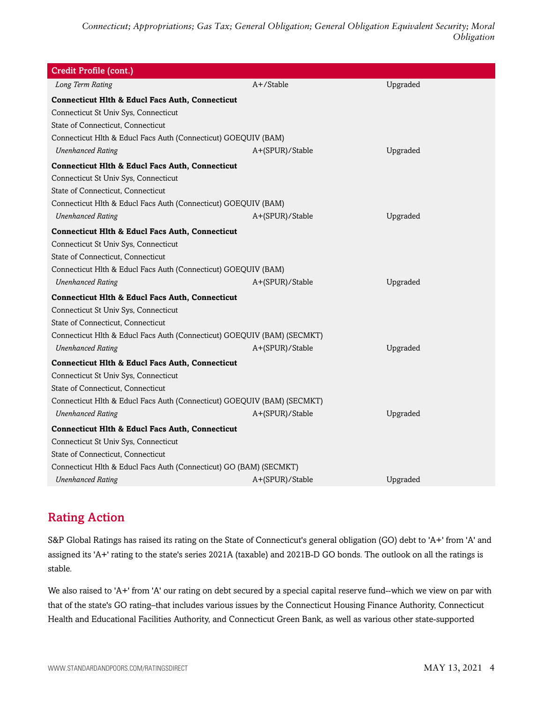| Credit Profile (cont.)                                                  |                 |          |  |
|-------------------------------------------------------------------------|-----------------|----------|--|
| Long Term Rating                                                        | A+/Stable       | Upgraded |  |
| <b>Connecticut Hlth &amp; Educl Facs Auth, Connecticut</b>              |                 |          |  |
| Connecticut St Univ Sys, Connecticut                                    |                 |          |  |
| State of Connecticut, Connecticut                                       |                 |          |  |
| Connecticut Hlth & Educl Facs Auth (Connecticut) GOEQUIV (BAM)          |                 |          |  |
| <b>Unenhanced Rating</b>                                                | A+(SPUR)/Stable | Upgraded |  |
| <b>Connecticut Hlth &amp; Educl Facs Auth, Connecticut</b>              |                 |          |  |
| Connecticut St Univ Sys, Connecticut                                    |                 |          |  |
| State of Connecticut, Connecticut                                       |                 |          |  |
| Connecticut Hlth & Educl Facs Auth (Connecticut) GOEQUIV (BAM)          |                 |          |  |
| <b>Unenhanced Rating</b>                                                | A+(SPUR)/Stable | Upgraded |  |
| <b>Connecticut Hlth &amp; Educl Facs Auth, Connecticut</b>              |                 |          |  |
| Connecticut St Univ Sys, Connecticut                                    |                 |          |  |
| State of Connecticut, Connecticut                                       |                 |          |  |
| Connecticut Hlth & Educl Facs Auth (Connecticut) GOEQUIV (BAM)          |                 |          |  |
| <b>Unenhanced Rating</b>                                                | A+(SPUR)/Stable | Upgraded |  |
| <b>Connecticut Hlth &amp; Educl Facs Auth, Connecticut</b>              |                 |          |  |
| Connecticut St Univ Sys, Connecticut                                    |                 |          |  |
| State of Connecticut, Connecticut                                       |                 |          |  |
| Connecticut Hlth & Educl Facs Auth (Connecticut) GOEQUIV (BAM) (SECMKT) |                 |          |  |
| <b>Unenhanced Rating</b>                                                | A+(SPUR)/Stable | Upgraded |  |
| <b>Connecticut Hlth &amp; Educl Facs Auth, Connecticut</b>              |                 |          |  |
| Connecticut St Univ Sys, Connecticut                                    |                 |          |  |
| State of Connecticut, Connecticut                                       |                 |          |  |
| Connecticut Hlth & Educl Facs Auth (Connecticut) GOEQUIV (BAM) (SECMKT) |                 |          |  |
| <b>Unenhanced Rating</b>                                                | A+(SPUR)/Stable | Upgraded |  |
| <b>Connecticut Hlth &amp; Educl Facs Auth, Connecticut</b>              |                 |          |  |
| Connecticut St Univ Sys, Connecticut                                    |                 |          |  |
| State of Connecticut, Connecticut                                       |                 |          |  |
| Connecticut Hlth & Educl Facs Auth (Connecticut) GO (BAM) (SECMKT)      |                 |          |  |
| <b>Unenhanced Rating</b>                                                | A+(SPUR)/Stable | Upgraded |  |

## <span id="page-3-0"></span>Rating Action

S&P Global Ratings has raised its rating on the State of Connecticut's general obligation (GO) debt to 'A+' from 'A' and assigned its 'A+' rating to the state's series 2021A (taxable) and 2021B-D GO bonds. The outlook on all the ratings is stable.

We also raised to 'A+' from 'A' our rating on debt secured by a special capital reserve fund--which we view on par with that of the state's GO rating–that includes various issues by the Connecticut Housing Finance Authority, Connecticut Health and Educational Facilities Authority, and Connecticut Green Bank, as well as various other state-supported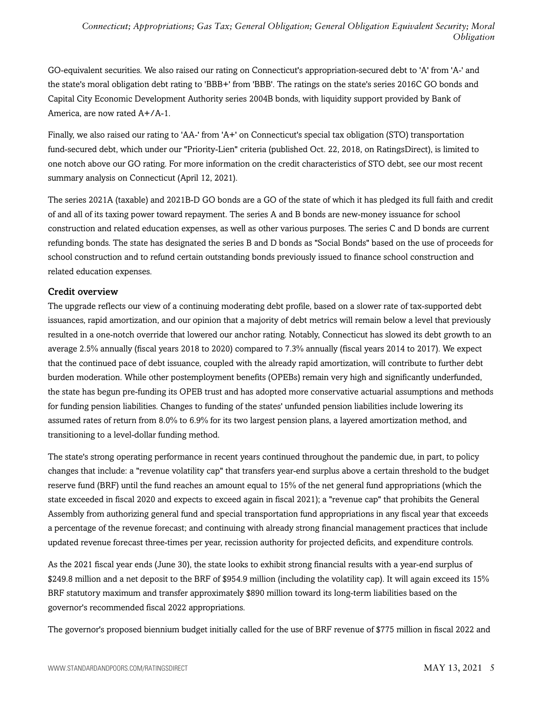GO-equivalent securities. We also raised our rating on Connecticut's appropriation-secured debt to 'A' from 'A-' and the state's moral obligation debt rating to 'BBB+' from 'BBB'. The ratings on the state's series 2016C GO bonds and Capital City Economic Development Authority series 2004B bonds, with liquidity support provided by Bank of America, are now rated A+/A-1.

Finally, we also raised our rating to 'AA-' from 'A+' on Connecticut's special tax obligation (STO) transportation fund-secured debt, which under our "Priority-Lien" criteria (published Oct. 22, 2018, on RatingsDirect), is limited to one notch above our GO rating. For more information on the credit characteristics of STO debt, see our most recent summary analysis on Connecticut (April 12, 2021).

The series 2021A (taxable) and 2021B-D GO bonds are a GO of the state of which it has pledged its full faith and credit of and all of its taxing power toward repayment. The series A and B bonds are new-money issuance for school construction and related education expenses, as well as other various purposes. The series C and D bonds are current refunding bonds. The state has designated the series B and D bonds as "Social Bonds" based on the use of proceeds for school construction and to refund certain outstanding bonds previously issued to finance school construction and related education expenses.

### Credit overview

The upgrade reflects our view of a continuing moderating debt profile, based on a slower rate of tax-supported debt issuances, rapid amortization, and our opinion that a majority of debt metrics will remain below a level that previously resulted in a one-notch override that lowered our anchor rating. Notably, Connecticut has slowed its debt growth to an average 2.5% annually (fiscal years 2018 to 2020) compared to 7.3% annually (fiscal years 2014 to 2017). We expect that the continued pace of debt issuance, coupled with the already rapid amortization, will contribute to further debt burden moderation. While other postemployment benefits (OPEBs) remain very high and significantly underfunded, the state has begun pre-funding its OPEB trust and has adopted more conservative actuarial assumptions and methods for funding pension liabilities. Changes to funding of the states' unfunded pension liabilities include lowering its assumed rates of return from 8.0% to 6.9% for its two largest pension plans, a layered amortization method, and transitioning to a level-dollar funding method.

The state's strong operating performance in recent years continued throughout the pandemic due, in part, to policy changes that include: a "revenue volatility cap" that transfers year-end surplus above a certain threshold to the budget reserve fund (BRF) until the fund reaches an amount equal to 15% of the net general fund appropriations (which the state exceeded in fiscal 2020 and expects to exceed again in fiscal 2021); a "revenue cap" that prohibits the General Assembly from authorizing general fund and special transportation fund appropriations in any fiscal year that exceeds a percentage of the revenue forecast; and continuing with already strong financial management practices that include updated revenue forecast three-times per year, recission authority for projected deficits, and expenditure controls.

As the 2021 fiscal year ends (June 30), the state looks to exhibit strong financial results with a year-end surplus of \$249.8 million and a net deposit to the BRF of \$954.9 million (including the volatility cap). It will again exceed its 15% BRF statutory maximum and transfer approximately \$890 million toward its long-term liabilities based on the governor's recommended fiscal 2022 appropriations.

The governor's proposed biennium budget initially called for the use of BRF revenue of \$775 million in fiscal 2022 and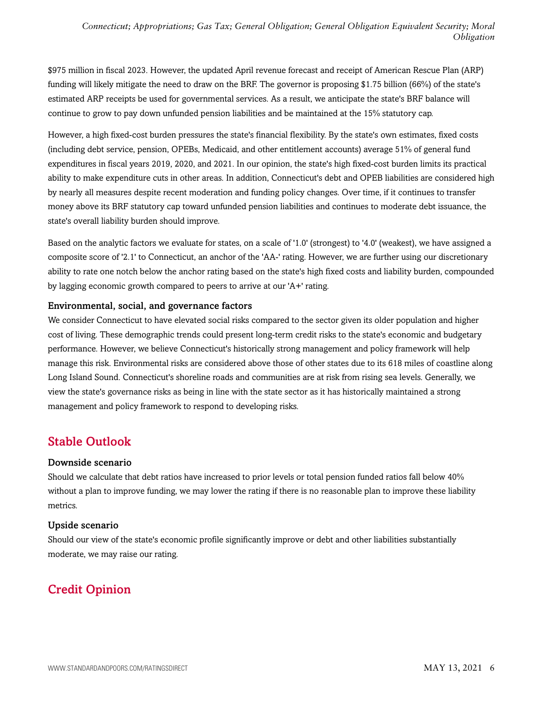\$975 million in fiscal 2023. However, the updated April revenue forecast and receipt of American Rescue Plan (ARP) funding will likely mitigate the need to draw on the BRF. The governor is proposing \$1.75 billion (66%) of the state's estimated ARP receipts be used for governmental services. As a result, we anticipate the state's BRF balance will continue to grow to pay down unfunded pension liabilities and be maintained at the 15% statutory cap.

However, a high fixed-cost burden pressures the state's financial flexibility. By the state's own estimates, fixed costs (including debt service, pension, OPEBs, Medicaid, and other entitlement accounts) average 51% of general fund expenditures in fiscal years 2019, 2020, and 2021. In our opinion, the state's high fixed-cost burden limits its practical ability to make expenditure cuts in other areas. In addition, Connecticut's debt and OPEB liabilities are considered high by nearly all measures despite recent moderation and funding policy changes. Over time, if it continues to transfer money above its BRF statutory cap toward unfunded pension liabilities and continues to moderate debt issuance, the state's overall liability burden should improve.

Based on the analytic factors we evaluate for states, on a scale of '1.0' (strongest) to '4.0' (weakest), we have assigned a composite score of '2.1' to Connecticut, an anchor of the 'AA-' rating. However, we are further using our discretionary ability to rate one notch below the anchor rating based on the state's high fixed costs and liability burden, compounded by lagging economic growth compared to peers to arrive at our 'A+' rating.

#### Environmental, social, and governance factors

We consider Connecticut to have elevated social risks compared to the sector given its older population and higher cost of living. These demographic trends could present long-term credit risks to the state's economic and budgetary performance. However, we believe Connecticut's historically strong management and policy framework will help manage this risk. Environmental risks are considered above those of other states due to its 618 miles of coastline along Long Island Sound. Connecticut's shoreline roads and communities are at risk from rising sea levels. Generally, we view the state's governance risks as being in line with the state sector as it has historically maintained a strong management and policy framework to respond to developing risks.

## <span id="page-5-0"></span>Stable Outlook

#### Downside scenario

Should we calculate that debt ratios have increased to prior levels or total pension funded ratios fall below 40% without a plan to improve funding, we may lower the rating if there is no reasonable plan to improve these liability metrics.

#### Upside scenario

Should our view of the state's economic profile significantly improve or debt and other liabilities substantially moderate, we may raise our rating.

## <span id="page-5-1"></span>Credit Opinion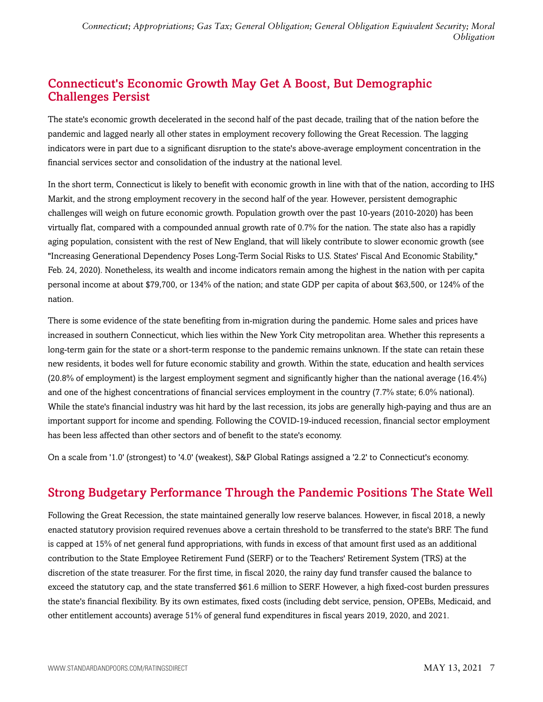## <span id="page-6-0"></span>Connecticut's Economic Growth May Get A Boost, But Demographic Challenges Persist

The state's economic growth decelerated in the second half of the past decade, trailing that of the nation before the pandemic and lagged nearly all other states in employment recovery following the Great Recession. The lagging indicators were in part due to a significant disruption to the state's above-average employment concentration in the financial services sector and consolidation of the industry at the national level.

In the short term, Connecticut is likely to benefit with economic growth in line with that of the nation, according to IHS Markit, and the strong employment recovery in the second half of the year. However, persistent demographic challenges will weigh on future economic growth. Population growth over the past 10-years (2010-2020) has been virtually flat, compared with a compounded annual growth rate of 0.7% for the nation. The state also has a rapidly aging population, consistent with the rest of New England, that will likely contribute to slower economic growth (see "Increasing Generational Dependency Poses Long-Term Social Risks to U.S. States' Fiscal And Economic Stability," Feb. 24, 2020). Nonetheless, its wealth and income indicators remain among the highest in the nation with per capita personal income at about \$79,700, or 134% of the nation; and state GDP per capita of about \$63,500, or 124% of the nation.

There is some evidence of the state benefiting from in-migration during the pandemic. Home sales and prices have increased in southern Connecticut, which lies within the New York City metropolitan area. Whether this represents a long-term gain for the state or a short-term response to the pandemic remains unknown. If the state can retain these new residents, it bodes well for future economic stability and growth. Within the state, education and health services (20.8% of employment) is the largest employment segment and significantly higher than the national average (16.4%) and one of the highest concentrations of financial services employment in the country (7.7% state; 6.0% national). While the state's financial industry was hit hard by the last recession, its jobs are generally high-paying and thus are an important support for income and spending. Following the COVID-19-induced recession, financial sector employment has been less affected than other sectors and of benefit to the state's economy.

<span id="page-6-1"></span>On a scale from '1.0' (strongest) to '4.0' (weakest), S&P Global Ratings assigned a '2.2' to Connecticut's economy.

## Strong Budgetary Performance Through the Pandemic Positions The State Well

Following the Great Recession, the state maintained generally low reserve balances. However, in fiscal 2018, a newly enacted statutory provision required revenues above a certain threshold to be transferred to the state's BRF. The fund is capped at 15% of net general fund appropriations, with funds in excess of that amount first used as an additional contribution to the State Employee Retirement Fund (SERF) or to the Teachers' Retirement System (TRS) at the discretion of the state treasurer. For the first time, in fiscal 2020, the rainy day fund transfer caused the balance to exceed the statutory cap, and the state transferred \$61.6 million to SERF. However, a high fixed-cost burden pressures the state's financial flexibility. By its own estimates, fixed costs (including debt service, pension, OPEBs, Medicaid, and other entitlement accounts) average 51% of general fund expenditures in fiscal years 2019, 2020, and 2021.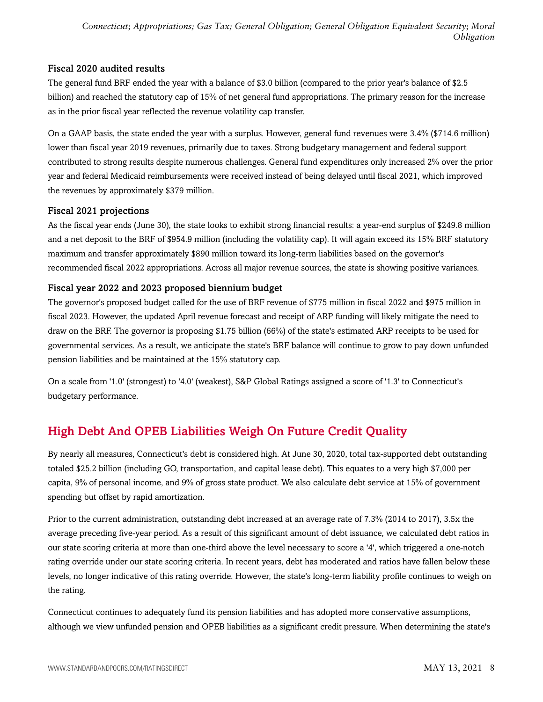### Fiscal 2020 audited results

The general fund BRF ended the year with a balance of \$3.0 billion (compared to the prior year's balance of \$2.5 billion) and reached the statutory cap of 15% of net general fund appropriations. The primary reason for the increase as in the prior fiscal year reflected the revenue volatility cap transfer.

On a GAAP basis, the state ended the year with a surplus. However, general fund revenues were 3.4% (\$714.6 million) lower than fiscal year 2019 revenues, primarily due to taxes. Strong budgetary management and federal support contributed to strong results despite numerous challenges. General fund expenditures only increased 2% over the prior year and federal Medicaid reimbursements were received instead of being delayed until fiscal 2021, which improved the revenues by approximately \$379 million.

### Fiscal 2021 projections

As the fiscal year ends (June 30), the state looks to exhibit strong financial results: a year-end surplus of \$249.8 million and a net deposit to the BRF of \$954.9 million (including the volatility cap). It will again exceed its 15% BRF statutory maximum and transfer approximately \$890 million toward its long-term liabilities based on the governor's recommended fiscal 2022 appropriations. Across all major revenue sources, the state is showing positive variances.

### Fiscal year 2022 and 2023 proposed biennium budget

The governor's proposed budget called for the use of BRF revenue of \$775 million in fiscal 2022 and \$975 million in fiscal 2023. However, the updated April revenue forecast and receipt of ARP funding will likely mitigate the need to draw on the BRF. The governor is proposing \$1.75 billion (66%) of the state's estimated ARP receipts to be used for governmental services. As a result, we anticipate the state's BRF balance will continue to grow to pay down unfunded pension liabilities and be maintained at the 15% statutory cap.

On a scale from '1.0' (strongest) to '4.0' (weakest), S&P Global Ratings assigned a score of '1.3' to Connecticut's budgetary performance.

## <span id="page-7-0"></span>High Debt And OPEB Liabilities Weigh On Future Credit Quality

By nearly all measures, Connecticut's debt is considered high. At June 30, 2020, total tax-supported debt outstanding totaled \$25.2 billion (including GO, transportation, and capital lease debt). This equates to a very high \$7,000 per capita, 9% of personal income, and 9% of gross state product. We also calculate debt service at 15% of government spending but offset by rapid amortization.

Prior to the current administration, outstanding debt increased at an average rate of 7.3% (2014 to 2017), 3.5x the average preceding five-year period. As a result of this significant amount of debt issuance, we calculated debt ratios in our state scoring criteria at more than one-third above the level necessary to score a '4', which triggered a one-notch rating override under our state scoring criteria. In recent years, debt has moderated and ratios have fallen below these levels, no longer indicative of this rating override. However, the state's long-term liability profile continues to weigh on the rating.

Connecticut continues to adequately fund its pension liabilities and has adopted more conservative assumptions, although we view unfunded pension and OPEB liabilities as a significant credit pressure. When determining the state's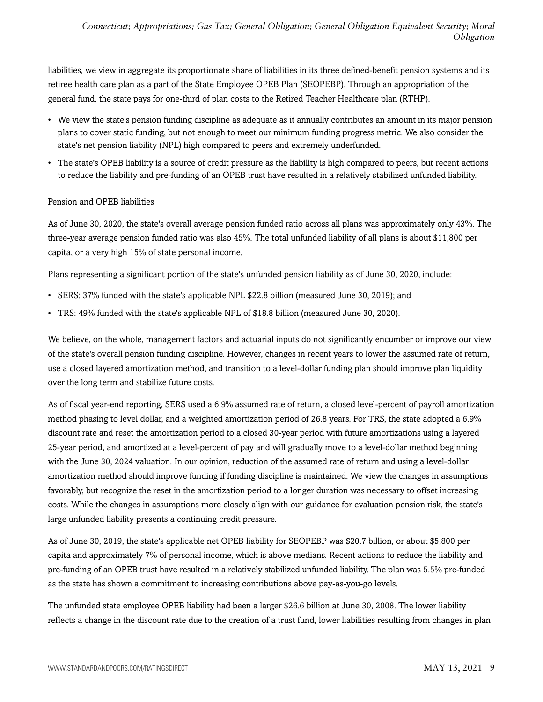liabilities, we view in aggregate its proportionate share of liabilities in its three defined-benefit pension systems and its retiree health care plan as a part of the State Employee OPEB Plan (SEOPEBP). Through an appropriation of the general fund, the state pays for one-third of plan costs to the Retired Teacher Healthcare plan (RTHP).

- We view the state's pension funding discipline as adequate as it annually contributes an amount in its major pension plans to cover static funding, but not enough to meet our minimum funding progress metric. We also consider the state's net pension liability (NPL) high compared to peers and extremely underfunded.
- The state's OPEB liability is a source of credit pressure as the liability is high compared to peers, but recent actions to reduce the liability and pre-funding of an OPEB trust have resulted in a relatively stabilized unfunded liability.

#### Pension and OPEB liabilities

As of June 30, 2020, the state's overall average pension funded ratio across all plans was approximately only 43%. The three-year average pension funded ratio was also 45%. The total unfunded liability of all plans is about \$11,800 per capita, or a very high 15% of state personal income.

Plans representing a significant portion of the state's unfunded pension liability as of June 30, 2020, include:

- SERS: 37% funded with the state's applicable NPL \$22.8 billion (measured June 30, 2019); and
- TRS: 49% funded with the state's applicable NPL of \$18.8 billion (measured June 30, 2020).

We believe, on the whole, management factors and actuarial inputs do not significantly encumber or improve our view of the state's overall pension funding discipline. However, changes in recent years to lower the assumed rate of return, use a closed layered amortization method, and transition to a level-dollar funding plan should improve plan liquidity over the long term and stabilize future costs.

As of fiscal year-end reporting, SERS used a 6.9% assumed rate of return, a closed level-percent of payroll amortization method phasing to level dollar, and a weighted amortization period of 26.8 years. For TRS, the state adopted a 6.9% discount rate and reset the amortization period to a closed 30-year period with future amortizations using a layered 25-year period, and amortized at a level-percent of pay and will gradually move to a level-dollar method beginning with the June 30, 2024 valuation. In our opinion, reduction of the assumed rate of return and using a level-dollar amortization method should improve funding if funding discipline is maintained. We view the changes in assumptions favorably, but recognize the reset in the amortization period to a longer duration was necessary to offset increasing costs. While the changes in assumptions more closely align with our guidance for evaluation pension risk, the state's large unfunded liability presents a continuing credit pressure.

As of June 30, 2019, the state's applicable net OPEB liability for SEOPEBP was \$20.7 billion, or about \$5,800 per capita and approximately 7% of personal income, which is above medians. Recent actions to reduce the liability and pre-funding of an OPEB trust have resulted in a relatively stabilized unfunded liability. The plan was 5.5% pre-funded as the state has shown a commitment to increasing contributions above pay-as-you-go levels.

The unfunded state employee OPEB liability had been a larger \$26.6 billion at June 30, 2008. The lower liability reflects a change in the discount rate due to the creation of a trust fund, lower liabilities resulting from changes in plan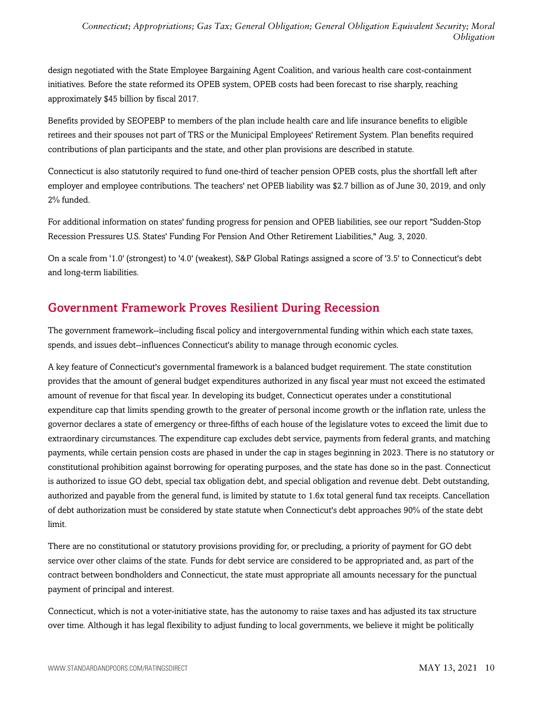design negotiated with the State Employee Bargaining Agent Coalition, and various health care cost-containment initiatives. Before the state reformed its OPEB system, OPEB costs had been forecast to rise sharply, reaching approximately \$45 billion by fiscal 2017.

Benefits provided by SEOPEBP to members of the plan include health care and life insurance benefits to eligible retirees and their spouses not part of TRS or the Municipal Employees' Retirement System. Plan benefits required contributions of plan participants and the state, and other plan provisions are described in statute.

Connecticut is also statutorily required to fund one-third of teacher pension OPEB costs, plus the shortfall left after employer and employee contributions. The teachers' net OPEB liability was \$2.7 billion as of June 30, 2019, and only 2% funded.

For additional information on states' funding progress for pension and OPEB liabilities, see our report "Sudden-Stop Recession Pressures U.S. States' Funding For Pension And Other Retirement Liabilities," Aug. 3, 2020.

On a scale from '1.0' (strongest) to '4.0' (weakest), S&P Global Ratings assigned a score of '3.5' to Connecticut's debt and long-term liabilities.

## <span id="page-9-0"></span>Government Framework Proves Resilient During Recession

The government framework--including fiscal policy and intergovernmental funding within which each state taxes, spends, and issues debt--influences Connecticut's ability to manage through economic cycles.

A key feature of Connecticut's governmental framework is a balanced budget requirement. The state constitution provides that the amount of general budget expenditures authorized in any fiscal year must not exceed the estimated amount of revenue for that fiscal year. In developing its budget, Connecticut operates under a constitutional expenditure cap that limits spending growth to the greater of personal income growth or the inflation rate, unless the governor declares a state of emergency or three-fifths of each house of the legislature votes to exceed the limit due to extraordinary circumstances. The expenditure cap excludes debt service, payments from federal grants, and matching payments, while certain pension costs are phased in under the cap in stages beginning in 2023. There is no statutory or constitutional prohibition against borrowing for operating purposes, and the state has done so in the past. Connecticut is authorized to issue GO debt, special tax obligation debt, and special obligation and revenue debt. Debt outstanding, authorized and payable from the general fund, is limited by statute to 1.6x total general fund tax receipts. Cancellation of debt authorization must be considered by state statute when Connecticut's debt approaches 90% of the state debt limit.

There are no constitutional or statutory provisions providing for, or precluding, a priority of payment for GO debt service over other claims of the state. Funds for debt service are considered to be appropriated and, as part of the contract between bondholders and Connecticut, the state must appropriate all amounts necessary for the punctual payment of principal and interest.

Connecticut, which is not a voter-initiative state, has the autonomy to raise taxes and has adjusted its tax structure over time. Although it has legal flexibility to adjust funding to local governments, we believe it might be politically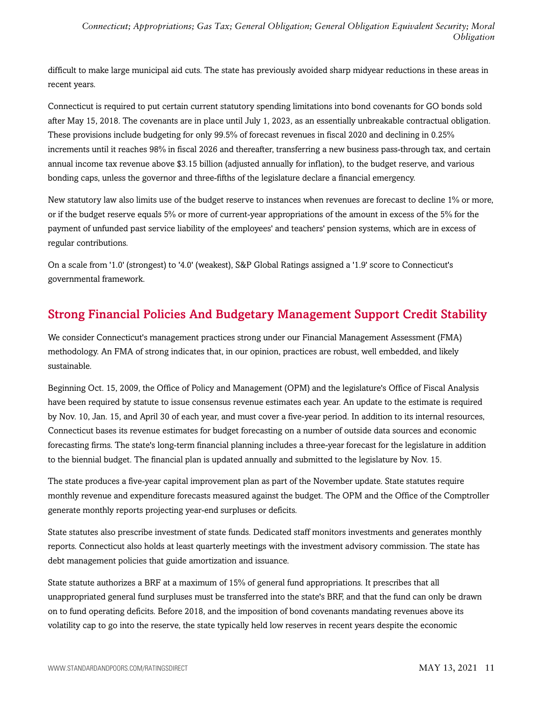difficult to make large municipal aid cuts. The state has previously avoided sharp midyear reductions in these areas in recent years.

Connecticut is required to put certain current statutory spending limitations into bond covenants for GO bonds sold after May 15, 2018. The covenants are in place until July 1, 2023, as an essentially unbreakable contractual obligation. These provisions include budgeting for only 99.5% of forecast revenues in fiscal 2020 and declining in 0.25% increments until it reaches 98% in fiscal 2026 and thereafter, transferring a new business pass-through tax, and certain annual income tax revenue above \$3.15 billion (adjusted annually for inflation), to the budget reserve, and various bonding caps, unless the governor and three-fifths of the legislature declare a financial emergency.

New statutory law also limits use of the budget reserve to instances when revenues are forecast to decline 1% or more, or if the budget reserve equals 5% or more of current-year appropriations of the amount in excess of the 5% for the payment of unfunded past service liability of the employees' and teachers' pension systems, which are in excess of regular contributions.

On a scale from '1.0' (strongest) to '4.0' (weakest), S&P Global Ratings assigned a '1.9' score to Connecticut's governmental framework.

## <span id="page-10-0"></span>Strong Financial Policies And Budgetary Management Support Credit Stability

We consider Connecticut's management practices strong under our Financial Management Assessment (FMA) methodology. An FMA of strong indicates that, in our opinion, practices are robust, well embedded, and likely sustainable.

Beginning Oct. 15, 2009, the Office of Policy and Management (OPM) and the legislature's Office of Fiscal Analysis have been required by statute to issue consensus revenue estimates each year. An update to the estimate is required by Nov. 10, Jan. 15, and April 30 of each year, and must cover a five-year period. In addition to its internal resources, Connecticut bases its revenue estimates for budget forecasting on a number of outside data sources and economic forecasting firms. The state's long-term financial planning includes a three-year forecast for the legislature in addition to the biennial budget. The financial plan is updated annually and submitted to the legislature by Nov. 15.

The state produces a five-year capital improvement plan as part of the November update. State statutes require monthly revenue and expenditure forecasts measured against the budget. The OPM and the Office of the Comptroller generate monthly reports projecting year-end surpluses or deficits.

State statutes also prescribe investment of state funds. Dedicated staff monitors investments and generates monthly reports. Connecticut also holds at least quarterly meetings with the investment advisory commission. The state has debt management policies that guide amortization and issuance.

State statute authorizes a BRF at a maximum of 15% of general fund appropriations. It prescribes that all unappropriated general fund surpluses must be transferred into the state's BRF, and that the fund can only be drawn on to fund operating deficits. Before 2018, and the imposition of bond covenants mandating revenues above its volatility cap to go into the reserve, the state typically held low reserves in recent years despite the economic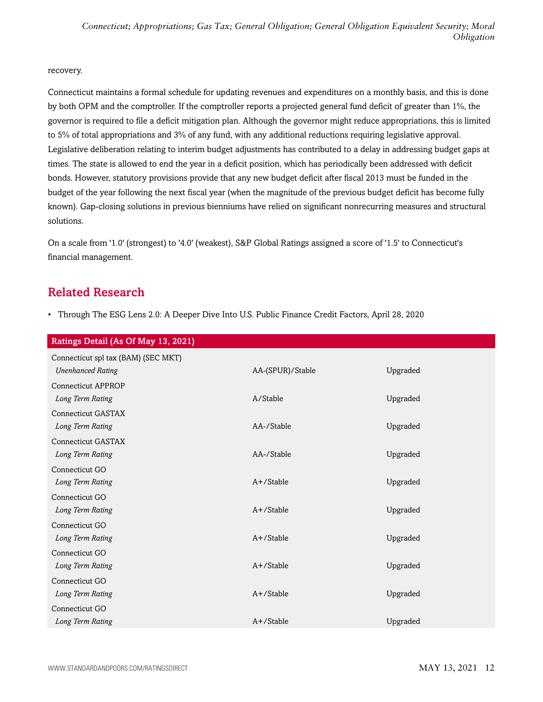#### recovery.

Connecticut maintains a formal schedule for updating revenues and expenditures on a monthly basis, and this is done by both OPM and the comptroller. If the comptroller reports a projected general fund deficit of greater than 1%, the governor is required to file a deficit mitigation plan. Although the governor might reduce appropriations, this is limited to 5% of total appropriations and 3% of any fund, with any additional reductions requiring legislative approval. Legislative deliberation relating to interim budget adjustments has contributed to a delay in addressing budget gaps at times. The state is allowed to end the year in a deficit position, which has periodically been addressed with deficit bonds. However, statutory provisions provide that any new budget deficit after fiscal 2013 must be funded in the budget of the year following the next fiscal year (when the magnitude of the previous budget deficit has become fully known). Gap-closing solutions in previous bienniums have relied on significant nonrecurring measures and structural solutions.

On a scale from '1.0' (strongest) to '4.0' (weakest), S&P Global Ratings assigned a score of '1.5' to Connecticut's financial management.

## <span id="page-11-0"></span>Related Research

• Through The ESG Lens 2.0: A Deeper Dive Into U.S. Public Finance Credit Factors, April 28, 2020

| Ratings Detail (As Of May 13, 2021) |                  |          |  |
|-------------------------------------|------------------|----------|--|
| Connecticut spl tax (BAM) (SEC MKT) |                  |          |  |
| <b>Unenhanced Rating</b>            | AA-(SPUR)/Stable | Upgraded |  |
| <b>Connecticut APPROP</b>           |                  |          |  |
| Long Term Rating                    | A/Stable         | Upgraded |  |
| <b>Connecticut GASTAX</b>           |                  |          |  |
| Long Term Rating                    | AA-/Stable       | Upgraded |  |
| <b>Connecticut GASTAX</b>           |                  |          |  |
| Long Term Rating                    | AA-/Stable       | Upgraded |  |
| Connecticut GO                      |                  |          |  |
| Long Term Rating                    | $A+$ /Stable     | Upgraded |  |
| Connecticut GO                      |                  |          |  |
| Long Term Rating                    | A+/Stable        | Upgraded |  |
| Connecticut GO                      |                  |          |  |
| Long Term Rating                    | $A+$ /Stable     | Upgraded |  |
| Connecticut GO                      |                  |          |  |
| Long Term Rating                    | $A+$ /Stable     | Upgraded |  |
| Connecticut GO                      |                  |          |  |
| Long Term Rating                    | A+/Stable        | Upgraded |  |
| Connecticut GO                      |                  |          |  |
| Long Term Rating                    | A+/Stable        | Upgraded |  |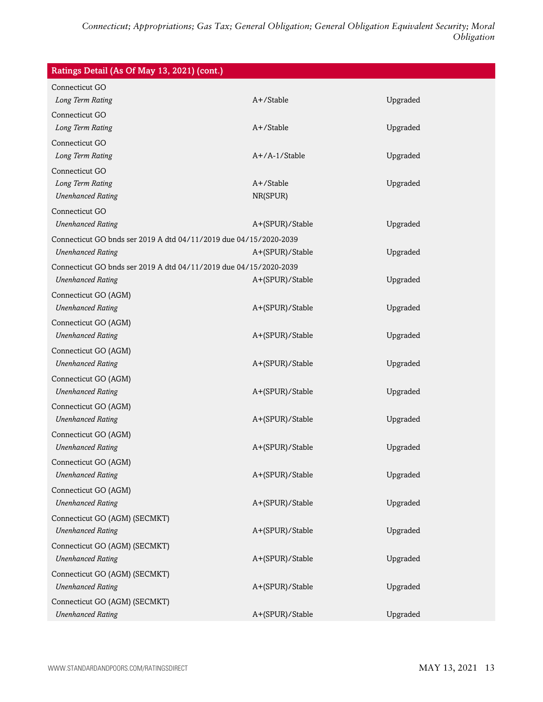| Ratings Detail (As Of May 13, 2021) (cont.)                       |                  |          |  |
|-------------------------------------------------------------------|------------------|----------|--|
| Connecticut GO                                                    |                  |          |  |
| Long Term Rating                                                  | A+/Stable        | Upgraded |  |
| Connecticut GO                                                    |                  |          |  |
| Long Term Rating                                                  | A+/Stable        | Upgraded |  |
| Connecticut GO                                                    |                  |          |  |
| Long Term Rating                                                  | $A+/A-1/S$ table | Upgraded |  |
| Connecticut GO                                                    |                  |          |  |
| Long Term Rating                                                  | A+/Stable        | Upgraded |  |
| <b>Unenhanced Rating</b>                                          | NR(SPUR)         |          |  |
| Connecticut GO                                                    |                  |          |  |
| <b>Unenhanced Rating</b>                                          | A+(SPUR)/Stable  | Upgraded |  |
| Connecticut GO bnds ser 2019 A dtd 04/11/2019 due 04/15/2020-2039 |                  |          |  |
| <b>Unenhanced Rating</b>                                          | A+(SPUR)/Stable  | Upgraded |  |
| Connecticut GO bnds ser 2019 A dtd 04/11/2019 due 04/15/2020-2039 |                  |          |  |
| <b>Unenhanced Rating</b>                                          | A+(SPUR)/Stable  | Upgraded |  |
| Connecticut GO (AGM)                                              |                  |          |  |
| <b>Unenhanced Rating</b>                                          | A+(SPUR)/Stable  | Upgraded |  |
| Connecticut GO (AGM)                                              |                  |          |  |
| <b>Unenhanced Rating</b>                                          | A+(SPUR)/Stable  | Upgraded |  |
| Connecticut GO (AGM)                                              |                  |          |  |
| <b>Unenhanced Rating</b>                                          | A+(SPUR)/Stable  | Upgraded |  |
| Connecticut GO (AGM)                                              |                  |          |  |
| <b>Unenhanced Rating</b>                                          | A+(SPUR)/Stable  | Upgraded |  |
| Connecticut GO (AGM)                                              |                  |          |  |
| <b>Unenhanced Rating</b>                                          | A+(SPUR)/Stable  | Upgraded |  |
| Connecticut GO (AGM)                                              |                  |          |  |
| <b>Unenhanced Rating</b>                                          | A+(SPUR)/Stable  | Upgraded |  |
| Connecticut GO (AGM)                                              |                  |          |  |
| <b>Unenhanced Rating</b>                                          | A+(SPUR)/Stable  | Upgraded |  |
| Connecticut GO (AGM)                                              |                  |          |  |
| <b>Unenhanced Rating</b>                                          | A+(SPUR)/Stable  | Upgraded |  |
| Connecticut GO (AGM) (SECMKT)                                     |                  |          |  |
| <b>Unenhanced Rating</b>                                          | A+(SPUR)/Stable  | Upgraded |  |
| Connecticut GO (AGM) (SECMKT)                                     |                  |          |  |
| <b>Unenhanced Rating</b>                                          | A+(SPUR)/Stable  | Upgraded |  |
|                                                                   |                  |          |  |
| Connecticut GO (AGM) (SECMKT)<br><b>Unenhanced Rating</b>         | A+(SPUR)/Stable  | Upgraded |  |
|                                                                   |                  |          |  |
| Connecticut GO (AGM) (SECMKT)                                     |                  |          |  |
| <b>Unenhanced Rating</b>                                          | A+(SPUR)/Stable  | Upgraded |  |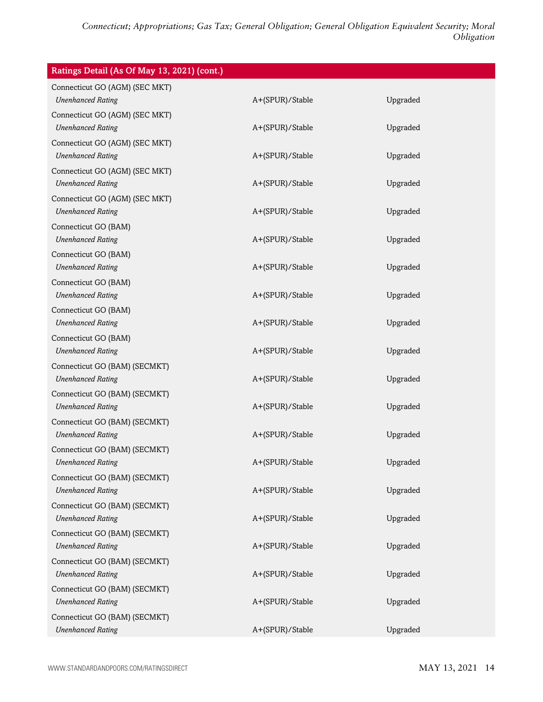| Ratings Detail (As Of May 13, 2021) (cont.)                |                 |          |
|------------------------------------------------------------|-----------------|----------|
| Connecticut GO (AGM) (SEC MKT)                             |                 |          |
| <b>Unenhanced Rating</b>                                   | A+(SPUR)/Stable | Upgraded |
| Connecticut GO (AGM) (SEC MKT)<br><b>Unenhanced Rating</b> | A+(SPUR)/Stable | Upgraded |
|                                                            |                 |          |
| Connecticut GO (AGM) (SEC MKT)<br><b>Unenhanced Rating</b> | A+(SPUR)/Stable | Upgraded |
| Connecticut GO (AGM) (SEC MKT)                             |                 |          |
| <b>Unenhanced Rating</b>                                   | A+(SPUR)/Stable | Upgraded |
| Connecticut GO (AGM) (SEC MKT)                             |                 |          |
| <b>Unenhanced Rating</b>                                   | A+(SPUR)/Stable | Upgraded |
| Connecticut GO (BAM)                                       |                 |          |
| <b>Unenhanced Rating</b>                                   | A+(SPUR)/Stable | Upgraded |
| Connecticut GO (BAM)                                       |                 |          |
| <b>Unenhanced Rating</b>                                   | A+(SPUR)/Stable | Upgraded |
| Connecticut GO (BAM)                                       |                 |          |
| <b>Unenhanced Rating</b>                                   | A+(SPUR)/Stable | Upgraded |
| Connecticut GO (BAM)                                       |                 |          |
| <b>Unenhanced Rating</b>                                   | A+(SPUR)/Stable | Upgraded |
| Connecticut GO (BAM)                                       |                 |          |
| <b>Unenhanced Rating</b>                                   | A+(SPUR)/Stable | Upgraded |
| Connecticut GO (BAM) (SECMKT)                              |                 |          |
| <b>Unenhanced Rating</b>                                   | A+(SPUR)/Stable | Upgraded |
| Connecticut GO (BAM) (SECMKT)                              |                 |          |
| <b>Unenhanced Rating</b>                                   | A+(SPUR)/Stable | Upgraded |
| Connecticut GO (BAM) (SECMKT)                              |                 |          |
| <b>Unenhanced Rating</b>                                   | A+(SPUR)/Stable | Upgraded |
| Connecticut GO (BAM) (SECMKT)                              |                 |          |
| <b>Unenhanced Rating</b>                                   | A+(SPUR)/Stable | Upgraded |
| Connecticut GO (BAM) (SECMKT)                              |                 |          |
| <b>Unenhanced Rating</b>                                   | A+(SPUR)/Stable | Upgraded |
| Connecticut GO (BAM) (SECMKT)                              |                 |          |
| <b>Unenhanced Rating</b>                                   | A+(SPUR)/Stable | Upgraded |
| Connecticut GO (BAM) (SECMKT)                              |                 |          |
| <b>Unenhanced Rating</b>                                   | A+(SPUR)/Stable | Upgraded |
| Connecticut GO (BAM) (SECMKT)                              |                 |          |
| <b>Unenhanced Rating</b>                                   | A+(SPUR)/Stable | Upgraded |
| Connecticut GO (BAM) (SECMKT)                              |                 |          |
| <b>Unenhanced Rating</b>                                   | A+(SPUR)/Stable | Upgraded |
| Connecticut GO (BAM) (SECMKT)                              |                 |          |
| <b>Unenhanced Rating</b>                                   | A+(SPUR)/Stable | Upgraded |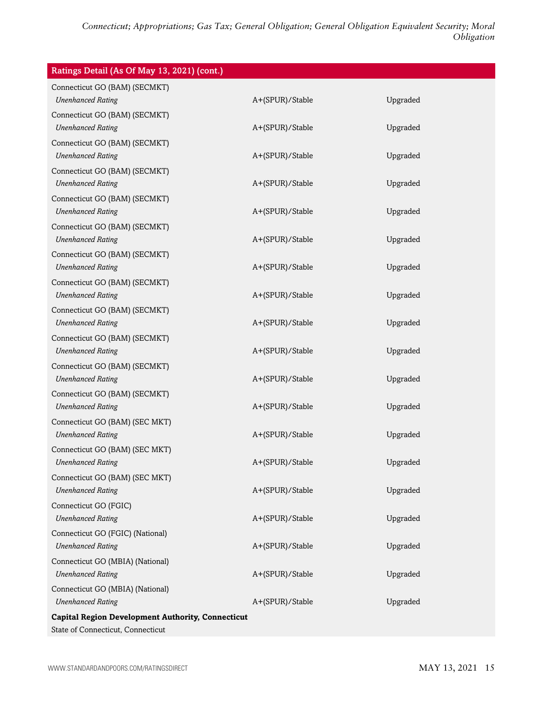| Ratings Detail (As Of May 13, 2021) (cont.)                                                   |                 |          |
|-----------------------------------------------------------------------------------------------|-----------------|----------|
| Connecticut GO (BAM) (SECMKT)<br><b>Unenhanced Rating</b>                                     | A+(SPUR)/Stable | Upgraded |
| Connecticut GO (BAM) (SECMKT)<br><b>Unenhanced Rating</b>                                     | A+(SPUR)/Stable | Upgraded |
| Connecticut GO (BAM) (SECMKT)<br><b>Unenhanced Rating</b>                                     | A+(SPUR)/Stable | Upgraded |
| Connecticut GO (BAM) (SECMKT)<br><b>Unenhanced Rating</b>                                     | A+(SPUR)/Stable | Upgraded |
| Connecticut GO (BAM) (SECMKT)<br><b>Unenhanced Rating</b>                                     | A+(SPUR)/Stable | Upgraded |
| Connecticut GO (BAM) (SECMKT)<br><b>Unenhanced Rating</b>                                     | A+(SPUR)/Stable | Upgraded |
| Connecticut GO (BAM) (SECMKT)<br><b>Unenhanced Rating</b>                                     | A+(SPUR)/Stable | Upgraded |
| Connecticut GO (BAM) (SECMKT)<br><b>Unenhanced Rating</b>                                     | A+(SPUR)/Stable | Upgraded |
| Connecticut GO (BAM) (SECMKT)<br><b>Unenhanced Rating</b>                                     | A+(SPUR)/Stable | Upgraded |
| Connecticut GO (BAM) (SECMKT)<br><b>Unenhanced Rating</b>                                     | A+(SPUR)/Stable | Upgraded |
| Connecticut GO (BAM) (SECMKT)<br><b>Unenhanced Rating</b>                                     | A+(SPUR)/Stable | Upgraded |
| Connecticut GO (BAM) (SECMKT)<br><b>Unenhanced Rating</b>                                     | A+(SPUR)/Stable | Upgraded |
| Connecticut GO (BAM) (SEC MKT)<br><b>Unenhanced Rating</b>                                    | A+(SPUR)/Stable | Upgraded |
| Connecticut GO (BAM) (SEC MKT)<br><b>Unenhanced Rating</b>                                    | A+(SPUR)/Stable | Upgraded |
| Connecticut GO (BAM) (SEC MKT)<br><b>Unenhanced Rating</b>                                    | A+(SPUR)/Stable | Upgraded |
| Connecticut GO (FGIC)<br><b>Unenhanced Rating</b>                                             | A+(SPUR)/Stable | Upgraded |
| Connecticut GO (FGIC) (National)<br><b>Unenhanced Rating</b>                                  | A+(SPUR)/Stable | Upgraded |
| Connecticut GO (MBIA) (National)<br><b>Unenhanced Rating</b>                                  | A+(SPUR)/Stable | Upgraded |
| Connecticut GO (MBIA) (National)<br><b>Unenhanced Rating</b>                                  | A+(SPUR)/Stable | Upgraded |
| <b>Capital Region Development Authority, Connecticut</b><br>State of Connecticut, Connecticut |                 |          |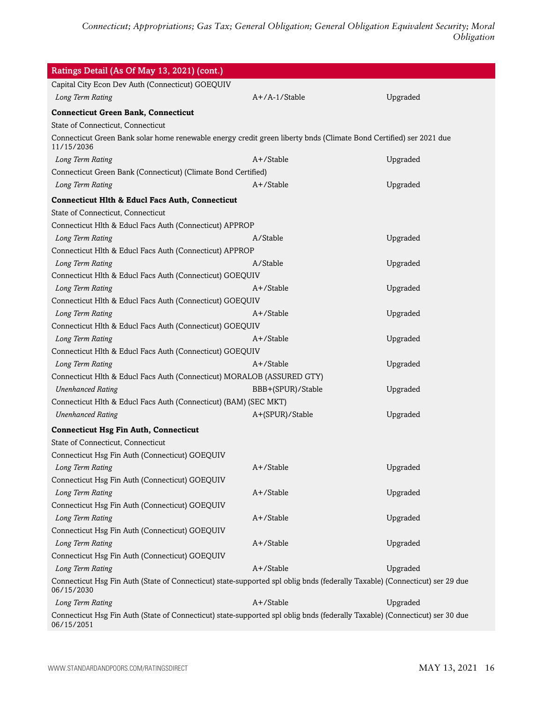| Ratings Detail (As Of May 13, 2021) (cont.)                                                                                               |                   |          |
|-------------------------------------------------------------------------------------------------------------------------------------------|-------------------|----------|
| Capital City Econ Dev Auth (Connecticut) GOEQUIV                                                                                          |                   |          |
| Long Term Rating                                                                                                                          | A+/A-1/Stable     | Upgraded |
| <b>Connecticut Green Bank, Connecticut</b>                                                                                                |                   |          |
| State of Connecticut, Connecticut                                                                                                         |                   |          |
| Connecticut Green Bank solar home renewable energy credit green liberty bnds (Climate Bond Certified) ser 2021 due<br>11/15/2036          |                   |          |
| Long Term Rating                                                                                                                          | A+/Stable         | Upgraded |
| Connecticut Green Bank (Connecticut) (Climate Bond Certified)                                                                             |                   |          |
| Long Term Rating                                                                                                                          | A+/Stable         | Upgraded |
| <b>Connecticut Hlth &amp; Educl Facs Auth, Connecticut</b>                                                                                |                   |          |
| State of Connecticut, Connecticut                                                                                                         |                   |          |
| Connecticut Hlth & Educl Facs Auth (Connecticut) APPROP                                                                                   |                   |          |
| Long Term Rating                                                                                                                          | A/Stable          | Upgraded |
| Connecticut Hlth & Educl Facs Auth (Connecticut) APPROP                                                                                   |                   |          |
| Long Term Rating                                                                                                                          | A/Stable          | Upgraded |
| Connecticut Hlth & Educl Facs Auth (Connecticut) GOEQUIV                                                                                  |                   |          |
| Long Term Rating                                                                                                                          | $A+$ /Stable      | Upgraded |
| Connecticut Hlth & Educl Facs Auth (Connecticut) GOEQUIV                                                                                  |                   |          |
| Long Term Rating                                                                                                                          | $A+$ /Stable      | Upgraded |
| Connecticut Hlth & Educl Facs Auth (Connecticut) GOEQUIV                                                                                  |                   |          |
| Long Term Rating                                                                                                                          | A+/Stable         | Upgraded |
| Connecticut Hlth & Educl Facs Auth (Connecticut) GOEQUIV                                                                                  |                   |          |
| Long Term Rating                                                                                                                          | A+/Stable         | Upgraded |
| Connecticut Hlth & Educl Facs Auth (Connecticut) MORALOB (ASSURED GTY)                                                                    |                   |          |
| <b>Unenhanced Rating</b>                                                                                                                  | BBB+(SPUR)/Stable | Upgraded |
| Connecticut Hlth & Educl Facs Auth (Connecticut) (BAM) (SEC MKT)                                                                          |                   |          |
| <b>Unenhanced Rating</b>                                                                                                                  | A+(SPUR)/Stable   | Upgraded |
| <b>Connecticut Hsg Fin Auth, Connecticut</b>                                                                                              |                   |          |
| State of Connecticut, Connecticut                                                                                                         |                   |          |
| Connecticut Hsg Fin Auth (Connecticut) GOEQUIV                                                                                            |                   |          |
| Long Term Rating                                                                                                                          | A+/Stable         | Upgraded |
| Connecticut Hsg Fin Auth (Connecticut) GOEQUIV                                                                                            |                   |          |
| Long Term Rating                                                                                                                          | A+/Stable         | Upgraded |
| Connecticut Hsg Fin Auth (Connecticut) GOEQUIV                                                                                            |                   |          |
| Long Term Rating                                                                                                                          | A+/Stable         | Upgraded |
| Connecticut Hsg Fin Auth (Connecticut) GOEQUIV                                                                                            |                   |          |
| Long Term Rating                                                                                                                          | A+/Stable         | Upgraded |
| Connecticut Hsg Fin Auth (Connecticut) GOEQUIV                                                                                            |                   |          |
| Long Term Rating                                                                                                                          | A+/Stable         | Upgraded |
| Connecticut Hsg Fin Auth (State of Connecticut) state-supported spl oblig bnds (federally Taxable) (Connecticut) ser 29 due<br>06/15/2030 |                   |          |
| Long Term Rating                                                                                                                          | A+/Stable         | Upgraded |
| Connecticut Hsg Fin Auth (State of Connecticut) state-supported spl oblig bnds (federally Taxable) (Connecticut) ser 30 due<br>06/15/2051 |                   |          |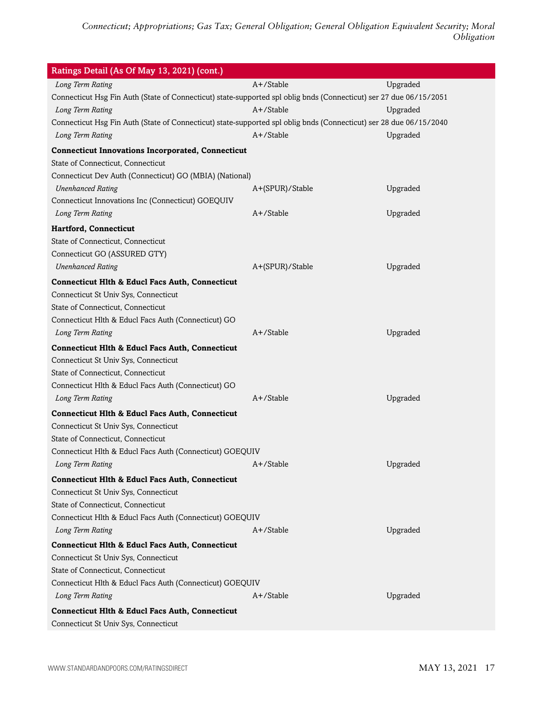| Ratings Detail (As Of May 13, 2021) (cont.)                                                                        |                 |          |
|--------------------------------------------------------------------------------------------------------------------|-----------------|----------|
| Long Term Rating                                                                                                   | A+/Stable       | Upgraded |
| Connecticut Hsg Fin Auth (State of Connecticut) state-supported spl oblig bnds (Connecticut) ser 27 due 06/15/2051 |                 |          |
| Long Term Rating                                                                                                   | $A+$ /Stable    | Upgraded |
| Connecticut Hsg Fin Auth (State of Connecticut) state-supported spl oblig bnds (Connecticut) ser 28 due 06/15/2040 |                 |          |
| Long Term Rating                                                                                                   | A+/Stable       | Upgraded |
| <b>Connecticut Innovations Incorporated, Connecticut</b>                                                           |                 |          |
| State of Connecticut, Connecticut                                                                                  |                 |          |
| Connecticut Dev Auth (Connecticut) GO (MBIA) (National)                                                            |                 |          |
| <b>Unenhanced Rating</b>                                                                                           | A+(SPUR)/Stable | Upgraded |
| Connecticut Innovations Inc (Connecticut) GOEQUIV                                                                  |                 |          |
| Long Term Rating                                                                                                   | $A+$ /Stable    | Upgraded |
| Hartford, Connecticut                                                                                              |                 |          |
| State of Connecticut, Connecticut                                                                                  |                 |          |
| Connecticut GO (ASSURED GTY)                                                                                       |                 |          |
| <b>Unenhanced Rating</b>                                                                                           | A+(SPUR)/Stable | Upgraded |
| <b>Connecticut Hlth &amp; Educl Facs Auth, Connecticut</b>                                                         |                 |          |
| Connecticut St Univ Sys, Connecticut                                                                               |                 |          |
| State of Connecticut, Connecticut                                                                                  |                 |          |
| Connecticut Hlth & Educl Facs Auth (Connecticut) GO                                                                |                 |          |
| Long Term Rating                                                                                                   | $A+$ /Stable    | Upgraded |
| <b>Connecticut Hlth &amp; Educl Facs Auth, Connecticut</b>                                                         |                 |          |
| Connecticut St Univ Sys, Connecticut                                                                               |                 |          |
| State of Connecticut, Connecticut                                                                                  |                 |          |
| Connecticut Hlth & Educl Facs Auth (Connecticut) GO                                                                |                 |          |
| Long Term Rating                                                                                                   | A+/Stable       | Upgraded |
| <b>Connecticut Hlth &amp; Educl Facs Auth, Connecticut</b>                                                         |                 |          |
| Connecticut St Univ Sys, Connecticut                                                                               |                 |          |
| State of Connecticut, Connecticut                                                                                  |                 |          |
| Connecticut Hlth & Educl Facs Auth (Connecticut) GOEQUIV                                                           |                 |          |
| Long Term Rating                                                                                                   | A+/Stable       | Upgraded |
| <b>Connecticut Hlth &amp; Educl Facs Auth, Connecticut</b>                                                         |                 |          |
| Connecticut St Univ Sys, Connecticut                                                                               |                 |          |
| State of Connecticut, Connecticut                                                                                  |                 |          |
| Connecticut Hlth & Educl Facs Auth (Connecticut) GOEQUIV                                                           |                 |          |
| Long Term Rating                                                                                                   | $A+$ /Stable    | Upgraded |
| <b>Connecticut Hlth &amp; Educl Facs Auth, Connecticut</b>                                                         |                 |          |
| Connecticut St Univ Sys, Connecticut                                                                               |                 |          |
| State of Connecticut, Connecticut                                                                                  |                 |          |
| Connecticut Hlth & Educl Facs Auth (Connecticut) GOEQUIV                                                           |                 |          |
| Long Term Rating                                                                                                   | A+/Stable       | Upgraded |
| <b>Connecticut Hlth &amp; Educl Facs Auth, Connecticut</b>                                                         |                 |          |
| Connecticut St Univ Sys, Connecticut                                                                               |                 |          |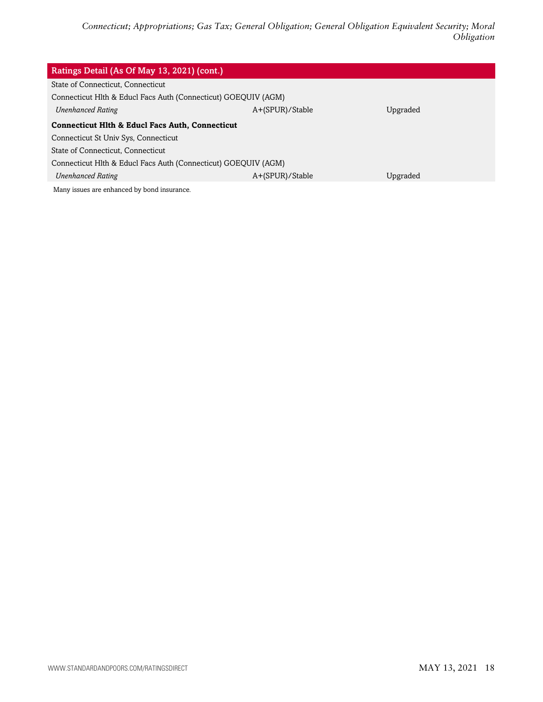| Ratings Detail (As Of May 13, 2021) (cont.)                    |                 |          |  |
|----------------------------------------------------------------|-----------------|----------|--|
| State of Connecticut, Connecticut                              |                 |          |  |
| Connecticut Hlth & Educl Facs Auth (Connecticut) GOEQUIV (AGM) |                 |          |  |
| <b>Unenhanced Rating</b>                                       | A+(SPUR)/Stable | Upgraded |  |
| <b>Connecticut Hith &amp; Educi Facs Auth, Connecticut</b>     |                 |          |  |
| Connecticut St Univ Sys, Connecticut                           |                 |          |  |
| State of Connecticut, Connecticut                              |                 |          |  |
| Connecticut Hlth & Educl Facs Auth (Connecticut) GOEQUIV (AGM) |                 |          |  |
| <b>Unenhanced Rating</b>                                       | A+(SPUR)/Stable | Upgraded |  |
| Many issues are enhanced by bond insurance.                    |                 |          |  |